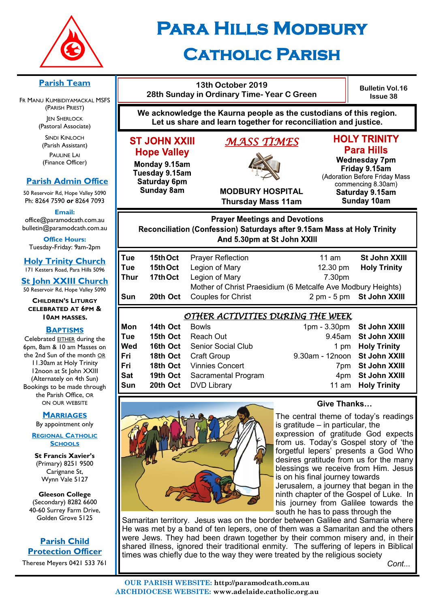

# **Para Hills Modbury Catholic Parish**

#### **Parish Team**

FR MANU KUMBIDIYAMACKAL MSFS (PARISH PRIEST) **JEN SHERLOCK** 

(Pastoral Associate)

SINDI KINLOCH (Parish Assistant) PAULINE LAI (Finance Officer)

## **Parish Admin Office**

50 Reservoir Rd, Hope Valley 5090 Ph: 8264 7590 *or* 8264 7093

**Email:** 

office@paramodcath.com.au bulletin@paramodcath.com.au

**Office Hours:**  Tuesday-Friday: 9am-2pm

**Holy Trinity Church** 171 Kesters Road, Para Hills 5096

**St John XXIII Church** 50 Reservoir Rd, Hope Valley 5090

**CHILDREN'S LITURGY CELEBRATED AT 6PM & 10AM MASSES.**

#### **BAPTISMS**

Celebrated EITHER during the 6pm, 8am & 10 am Masses on the 2nd Sun of the month OR 11.30am at Holy Trinity 12noon at St John XXIII (Alternately on 4th Sun) Bookings to be made through the Parish Office, OR ON OUR WEBSITE

#### **MARRIAGES**

By appointment only

**REGIONAL CATHOLIC SCHOOLS**

**St Francis Xavier's**  (Primary) 8251 9500 Carignane St, Wynn Vale 5127

**Gleeson College**  (Secondary) 8282 6600 40-60 Surrey Farm Drive, Golden Grove 5125

# **Parish Child Protection Officer**

Therese Meyers 0421 533 761

| 13th October 2019<br>28th Sunday in Ordinary Time-Year C Green |
|----------------------------------------------------------------|
| e acknowledge the Kaurna people as the custoo                  |

**Bulletin Vol.16 Issue 38**

**We acknowledge the Kaurna people as the custodians of this region. Let us share and learn together for reconciliation and justice.**

# **ST JOHN XXIII Hope Valley**

Monday 9.15am Tuesday 9.15am Saturday 6pm **Sunday 8am** 

# *MASS TIMES*



# **HOLY TRINITY Para Hills**

**Wednesday 7pm** Friday 9.15am (Adoration Before Friday Mass commencing 8.30am) Saturday 9.15am **Sunday 10am** 

**MODBURY HOSPITAL Thursday Mass 11am**

# **Prayer Meetings and Devotions** Reconciliation (Confession) Saturdays after 9.15am Mass at Holy Trinity And 5.30pm at St John XXIII

| Tue  | 15th Oct | <b>Prayer Reflection</b>                                     | 11 am              | St John XXIII             |
|------|----------|--------------------------------------------------------------|--------------------|---------------------------|
| Tue  | 15th Oct | Legion of Mary                                               | $12.30 \text{ pm}$ | <b>Holy Trinity</b>       |
| Thur | 17th Oct | Legion of Mary                                               | 7.30pm             |                           |
|      |          | Mother of Christ Praesidium (6 Metcalfe Ave Modbury Heights) |                    |                           |
| Sun  | 20th Oct | <b>Couples for Christ</b>                                    |                    | 2 pm - 5 pm St John XXIII |

# *OTHER ACTIVITIES DURING THE WEEK*

| Mon        | 14th Oct | <b>Bowls</b>                        | 1pm - 3.30pm St John XXIII    |                      |
|------------|----------|-------------------------------------|-------------------------------|----------------------|
| Tue        |          | <b>15th Oct</b> Reach Out           |                               | 9.45am St John XXIII |
| Wed        |          | <b>16th Oct</b> Senior Social Club  |                               | 1 pm Holy Trinity    |
| Fri        |          | <b>18th Oct</b> Craft Group         | 9.30am - 12noon St John XXIII |                      |
| Fri        |          | 18th Oct Vinnies Concert            |                               | 7pm St John XXIII    |
| <b>Sat</b> |          | <b>19th Oct</b> Sacramental Program |                               | 4pm St John XXIII    |
| Sun        |          | 20th Oct DVD Library                |                               | 11 am Holy Trinity   |
|            |          |                                     |                               |                      |



## **Give Thanks…**

The central theme of today's readings is gratitude  $-$  in particular, the expression of gratitude God expects from us. Today's Gospel story of 'the forgetful lepers' presents a God Who desires gratitude from us for the many blessings we receive from Him. Jesus is on his final journey towards Jerusalem, a journey that began in the

ninth chapter of the Gospel of Luke. In his journey from Galilee towards the south he has to pass through the

Samaritan territory. Jesus was on the border between Galilee and Samaria where He was met by a band of ten lepers, one of them was a Samaritan and the others were Jews. They had been drawn together by their common misery and, in their shared illness, ignored their traditional enmity. The suffering of lepers in Biblical times was chiefly due to the way they were treated by the religious society *Cont...*

**OUR PARISH WEBSITE: http://paramodcath.com.au ARCHDIOCESE WEBSITE: www.adelaide.catholic.org.au**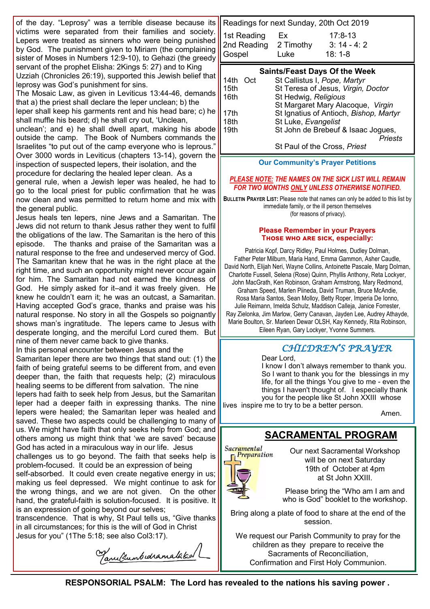of the day. "Leprosy" was a terrible disease because its victims were separated from their families and society. Lepers were treated as sinners who were being punished by God. The punishment given to Miriam (the complaining sister of Moses in Numbers 12:9-10), to Gehazi (the greedy servant of the prophet Elisha: 2Kings 5: 27) and to King Uzziah (Chronicles 26:19), supported this Jewish belief that leprosy was God's punishment for sins.

The Mosaic Law, as given in Leviticus 13:44-46, demands that a) the priest shall declare the leper unclean; b) the leper shall keep his garments rent and his head bare; c) he shall muffle his beard; d) he shall cry out, 'Unclean, unclean'; and e) he shall dwell apart, making his abode outside the camp. The Book of Numbers commands the Israelites "to put out of the camp everyone who is leprous." Over 3000 words in Leviticus (chapters 13-14), govern the inspection of suspected lepers, their isolation, and the procedure for declaring the healed leper clean. As a general rule, when a Jewish leper was healed, he had to go to the local priest for public confirmation that he was now clean and was permitted to return home and mix with the general public.

Jesus heals ten lepers, nine Jews and a Samaritan. The Jews did not return to thank Jesus rather they went to fulfil the obligations of the law. The Samaritan is the hero of this episode. The thanks and praise of the Samaritan was a natural response to the free and undeserved mercy of God. The Samaritan knew that he was in the right place at the right time, and such an opportunity might never occur again for him. The Samaritan had not earned the kindness of God. He simply asked for it–and it was freely given. He knew he couldn't earn it; he was an outcast, a Samaritan. Having accepted God's grace, thanks and praise was his natural response. No story in all the Gospels so poignantly shows man's ingratitude. The lepers came to Jesus with desperate longing, and the merciful Lord cured them. But nine of them never came back to give thanks.

In this personal encounter between Jesus and the Samaritan leper there are two things that stand out: (1) the faith of being grateful seems to be different from, and even deeper than, the faith that requests help; (2) miraculous healing seems to be different from salvation. The nine lepers had faith to seek help from Jesus, but the Samaritan leper had a deeper faith in expressing thanks. The nine lepers were healed; the Samaritan leper was healed and saved. These two aspects could be challenging to many of us. We might have faith that only seeks help from God; and others among us might think that 'we are saved' because God has acted in a miraculous way in our life. Jesus challenges us to go beyond. The faith that seeks help is problem-focused. It could be an expression of being

self-absorbed. It could even create negative energy in us; making us feel depressed. We might continue to ask for the wrong things, and we are not given. On the other hand, the grateful-faith is solution-focused. It is positive. It is an expression of going beyond our selves;

transcendence. That is why, St Paul tells us, "Give thanks in all circumstances; for this is the will of God in Christ Jesus for you" (1The 5:18; see also Col3:17).

Tanultumbudramalaked

Readings for next Sunday, 20th Oct 2019 1st Reading Ex 17:8-13 2nd Reading 2 Timothy 3: 14 - 4: 2 Gospel Luke 18: 1-8

# **Saints/Feast Days Of the Week**

| 14th Oct | St Callistus I, Pope, Martyr           |
|----------|----------------------------------------|
| 15th     | St Teresa of Jesus, Virgin, Doctor     |
| 16th     | St Hedwig, Religious                   |
|          | St Margaret Mary Alacoque, Virgin      |
| 17th     | St Ignatius of Antioch, Bishop, Martyr |
| 18th     | St Luke, Evangelist                    |
| 19th     | St John de Brebeuf & Isaac Jogues,     |
|          | Priests                                |
|          |                                        |

St Paul of the Cross, *Priest*

#### **Our Community's Prayer Petitions**

#### *PLEASE NOTE: THE NAMES ON THE SICK LIST WILL REMAIN FOR TWO MONTHS ONLY UNLESS OTHERWISE NOTIFIED.*

**BULLETIN PRAYER LIST:** Please note that names can only be added to this list by immediate family, or the ill person themselves (for reasons of privacy).

#### **Please Remember in your Prayers Those who are sick, especially:**

Patricia Kopf, Darcy Ridley, Paul Holmes, Dudley Dolman, Father Peter Milburn, Maria Hand, Emma Gammon, Asher Caudle, David North, Elijah Neri, Wayne Collins, Antoinette Pascale, Marg Dolman, Charlotte Fussell, Selena (Rose) Quinn, Phyllis Anthony, Reta Lockyer, John MacGrath, Ken Robinson, Graham Armstrong, Mary Redmond, Graham Speed, Marlen Piineda, David Truman, Bruce McAndie, Rosa Maria Santos, Sean Molloy, Betty Roper, Imperia De Ionno, Julie Reimann, Imelda Schulz, Maddison Calleja, Janice Forrester, Ray Zielonka, Jim Marlow, Gerry Canavan, Jayden Lee, Audrey Athayde, Marie Boulton, Sr. Marleen Dewar OLSH, Kay Kennedy, Rita Robinson, Eileen Ryan, Gary Lockyer, Yvonne Summers.

# *CHILDREN'S PRAYER*

Dear Lord,

I know I don't always remember to thank you. So I want to thank you for the blessings in my life, for all the things You give to me - even the things I haven't thought of. I especially thank you for the people like St John XXIII whose lives inspire me to try to be a better person.

Amen.

# **SACRAMENTAL PROGRAM**

Sacramental Preparation

Our next Sacramental Workshop will be on next Saturday 19th of October at 4pm at St John XXIII.

Please bring the "Who am I am and who is God" booklet to the workshop.

Bring along a plate of food to share at the end of the session.

We request our Parish Community to pray for the children as they prepare to receive the Sacraments of Reconciliation, Confirmation and First Holy Communion.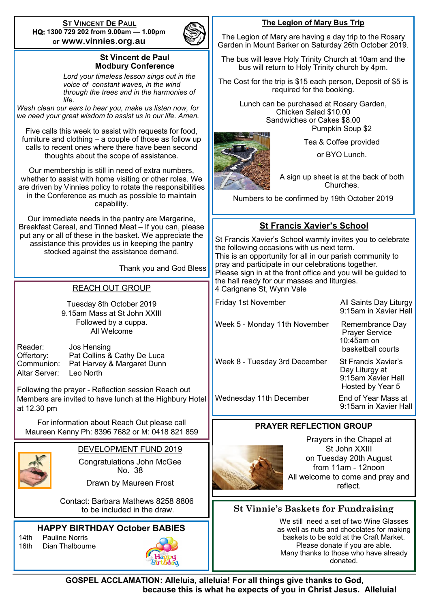**ST VINCENT DE PAUL HQ: 1300 729 202 from 9.00am — 1.00pm or www.vinnies.org.au** 



### **St Vincent de Paul Modbury Conference**

*Lord your timeless lesson sings out in the voice of constant waves, in the wind through the trees and in the harmonies of life.* 

*Wash clean our ears to hear you, make us listen now, for we need your great wisdom to assist us in our life. Amen.*

Five calls this week to assist with requests for food, furniture and clothing – a couple of those as follow up calls to recent ones where there have been second thoughts about the scope of assistance.

Our membership is still in need of extra numbers, whether to assist with home visiting or other roles. We are driven by Vinnies policy to rotate the responsibilities in the Conference as much as possible to maintain capability.

Our immediate needs in the pantry are Margarine, Breakfast Cereal, and Tinned Meat – If you can, please put any or all of these in the basket. We appreciate the assistance this provides us in keeping the pantry stocked against the assistance demand.

Thank you and God Bless

### REACH OUT GROUP

Tuesday 8th October 2019 9.15am Mass at St John XXIII Followed by a cuppa. All Welcome

Reader: Jos Hensing Offertory: Pat Collins & Cathy De Luca<br>Communion: Pat Harvey & Margaret Dunn Pat Harvey & Margaret Dunn Altar Server: Leo North

Following the prayer - Reflection session Reach out Members are invited to have lunch at the Highbury Hotel at 12.30 pm

For information about Reach Out please call Maureen Kenny Ph: 8396 7682 or M: 0418 821 859



DEVELOPMENT FUND 2019

Congratulations John McGee No. 38

Drawn by Maureen Frost

 Contact: Barbara Mathews 8258 8806 to be included in the draw.

## **HAPPY BIRTHDAY October BABIES**

14th Pauline Norris 16th Dian Thalbourne



#### **The Legion of Mary Bus Trip**

The Legion of Mary are having a day trip to the Rosary Garden in Mount Barker on Saturday 26th October 2019.

The bus will leave Holy Trinity Church at 10am and the bus will return to Holy Trinity church by 4pm.

The Cost for the trip is \$15 each person, Deposit of \$5 is required for the booking.

> Lunch can be purchased at Rosary Garden, Chicken Salad \$10.00 Sandwiches or Cakes \$8.00 Pumpkin Soup \$2

or BYO Lunch.

Tea & Coffee provided

A sign up sheet is at the back of both Churches.

Numbers to be confirmed by 19th October 2019

# **St Francis Xavier's School**

St Francis Xavier's School warmly invites you to celebrate the following occasions with us next term. This is an opportunity for all in our parish community to pray and participate in our celebrations together. Please sign in at the front office and you will be guided to the hall ready for our masses and liturgies. 4 Carignane St, Wynn Vale

| Week 5 - Monday 11th November |  |  |  |  |  |
|-------------------------------|--|--|--|--|--|
|                               |  |  |  |  |  |

Week 8 - Tuesday 3rd December St Francis Xavier's

Friday 1st November All Saints Day Liturgy 9:15am in Xavier Hall

> Remembrance Day Prayer Service 10:45am on basketball courts

 Day Liturgy at 9:15am Xavier Hall Hosted by Year 5

Wednesday 11th December End of Year Mass at

9:15am in Xavier Hall

## **PRAYER REFLECTION GROUP**



Prayers in the Chapel at St John XXIII on Tuesday 20th August from 11am - 12noon All welcome to come and pray and reflect.

# **St Vinnie's Baskets for Fundraising**

We still need a set of two Wine Glasses as well as nuts and chocolates for making baskets to be sold at the Craft Market. Please donate if you are able. Many thanks to those who have already donated.

**GOSPEL ACCLAMATION: Alleluia, alleluia! For all things give thanks to God, because this is what he expects of you in Christ Jesus. Alleluia!**